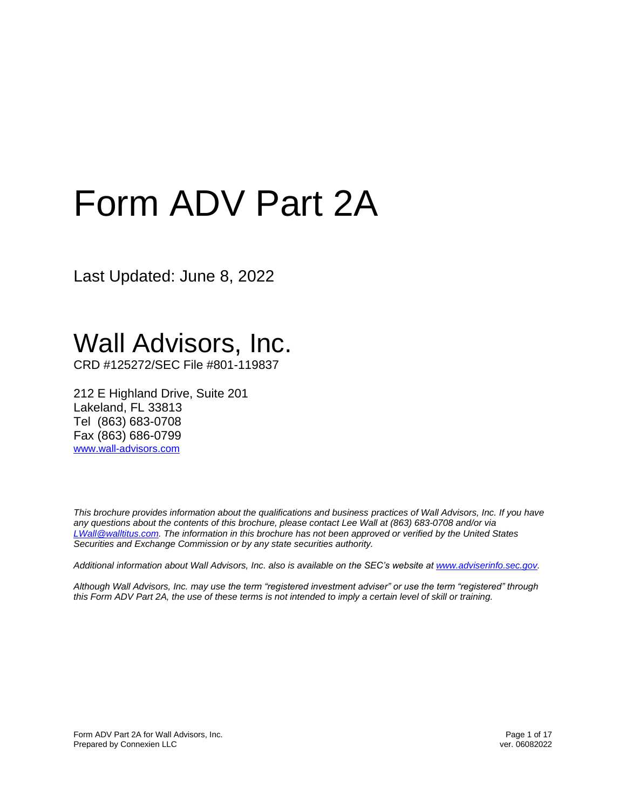# Form ADV Part 2A

Last Updated: June 8, 2022

# Wall Advisors, Inc.

CRD #125272/SEC File #801-119837

212 E Highland Drive, Suite 201 Lakeland, FL 33813 Tel (863) 683-0708 Fax (863) 686-0799 [www.wall-advisors.com](http://www.wall-advisors.com/)

*This brochure provides information about the qualifications and business practices of Wall Advisors, Inc. If you have any questions about the contents of this brochure, please contact Lee Wall at (863) 683-0708 and/or via [LWall@walltitus.com.](mailto:LWall@walltitus.com) The information in this brochure has not been approved or verified by the United States Securities and Exchange Commission or by any state securities authority.*

*Additional information about Wall Advisors, Inc. also is available on the SEC's website a[t www.adviserinfo.sec.gov.](http://www.adviserinfo.sec.gov/)*

*Although Wall Advisors, Inc. may use the term "registered investment adviser" or use the term "registered" through this Form ADV Part 2A, the use of these terms is not intended to imply a certain level of skill or training.*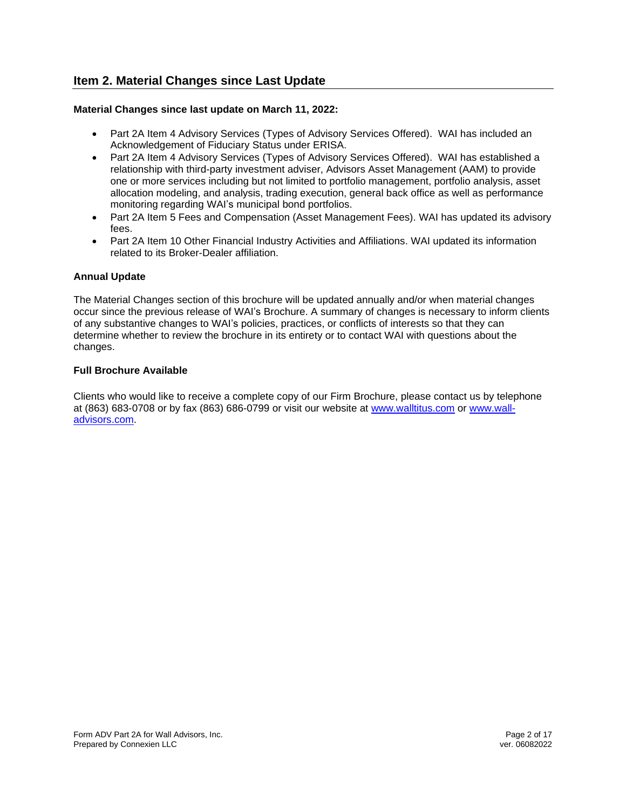# **Item 2. Material Changes since Last Update**

#### **Material Changes since last update on March 11, 2022:**

- Part 2A Item 4 Advisory Services (Types of Advisory Services Offered). WAI has included an Acknowledgement of Fiduciary Status under ERISA.
- Part 2A Item 4 Advisory Services (Types of Advisory Services Offered). WAI has established a relationship with third-party investment adviser, Advisors Asset Management (AAM) to provide one or more services including but not limited to portfolio management, portfolio analysis, asset allocation modeling, and analysis, trading execution, general back office as well as performance monitoring regarding WAI's municipal bond portfolios.
- Part 2A Item 5 Fees and Compensation (Asset Management Fees). WAI has updated its advisory fees.
- Part 2A Item 10 Other Financial Industry Activities and Affiliations. WAI updated its information related to its Broker-Dealer affiliation.

#### **Annual Update**

The Material Changes section of this brochure will be updated annually and/or when material changes occur since the previous release of WAI's Brochure. A summary of changes is necessary to inform clients of any substantive changes to WAI's policies, practices, or conflicts of interests so that they can determine whether to review the brochure in its entirety or to contact WAI with questions about the changes.

#### **Full Brochure Available**

Clients who would like to receive a complete copy of our Firm Brochure, please contact us by telephone at (863) 683-0708 or by fax (863) 686-0799 or visit our website at [www.walltitus.com](http://www.walltitus.com/) or [www.wall](http://www.wall-advisors.com/)[advisors.com.](http://www.wall-advisors.com/)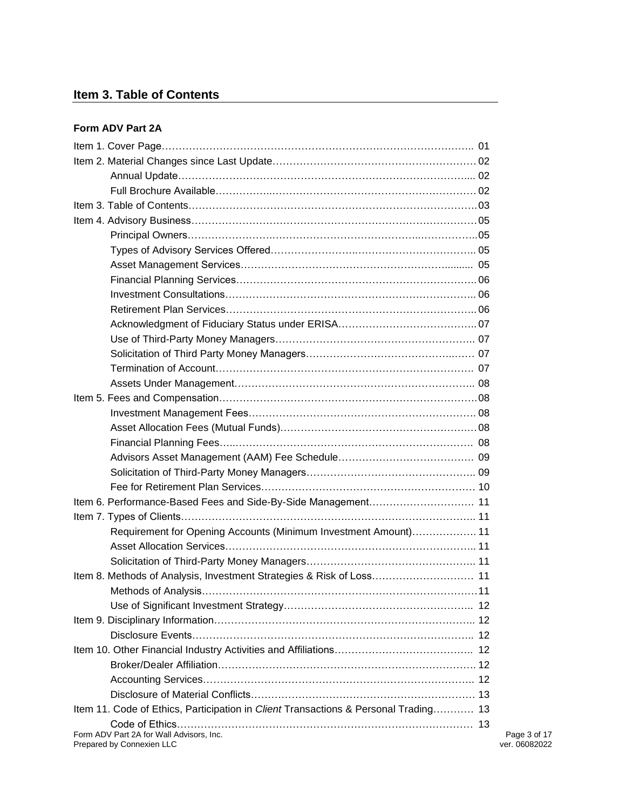# **Item 3. Table of Contents**

#### **Form ADV Part 2A**

| Item 6. Performance-Based Fees and Side-By-Side Management 11                       |                               |
|-------------------------------------------------------------------------------------|-------------------------------|
|                                                                                     |                               |
| Requirement for Opening Accounts (Minimum Investment Amount) 11                     |                               |
|                                                                                     |                               |
|                                                                                     |                               |
| Item 8. Methods of Analysis, Investment Strategies & Risk of Loss 11                |                               |
|                                                                                     |                               |
|                                                                                     |                               |
|                                                                                     |                               |
|                                                                                     |                               |
|                                                                                     |                               |
|                                                                                     |                               |
|                                                                                     |                               |
|                                                                                     |                               |
| Item 11. Code of Ethics, Participation in Client Transactions & Personal Trading 13 |                               |
|                                                                                     |                               |
| Form ADV Part 2A for Wall Advisors, Inc.<br>Prepared by Connexien LLC               | Page 3 of 17<br>ver. 06082022 |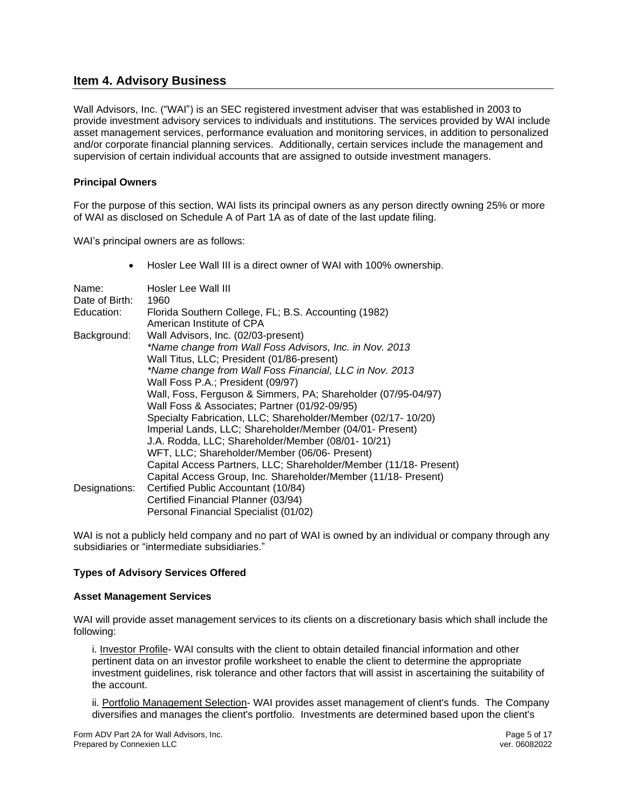# **Item 4. Advisory Business**

Wall Advisors, Inc. ("WAI") is an SEC registered investment adviser that was established in 2003 to provide investment advisory services to individuals and institutions. The services provided by WAI include asset management services, performance evaluation and monitoring services, in addition to personalized and/or corporate financial planning services. Additionally, certain services include the management and supervision of certain individual accounts that are assigned to outside investment managers.

#### **Principal Owners**

For the purpose of this section, WAI lists its principal owners as any person directly owning 25% or more of WAI as disclosed on Schedule A of Part 1A as of date of the last update filing.

WAI's principal owners are as follows:

| Name:          | Hosler Lee Wall III                                               |  |  |  |
|----------------|-------------------------------------------------------------------|--|--|--|
| Date of Birth: | 1960                                                              |  |  |  |
| Education:     | Florida Southern College, FL; B.S. Accounting (1982)              |  |  |  |
|                | American Institute of CPA                                         |  |  |  |
| Background:    | Wall Advisors, Inc. (02/03-present)                               |  |  |  |
|                | *Name change from Wall Foss Advisors, Inc. in Nov. 2013           |  |  |  |
|                | Wall Titus, LLC; President (01/86-present)                        |  |  |  |
|                | *Name change from Wall Foss Financial, LLC in Nov. 2013           |  |  |  |
|                | Wall Foss P.A.; President (09/97)                                 |  |  |  |
|                | Wall, Foss, Ferguson & Simmers, PA; Shareholder (07/95-04/97)     |  |  |  |
|                | Wall Foss & Associates; Partner (01/92-09/95)                     |  |  |  |
|                | Specialty Fabrication, LLC; Shareholder/Member (02/17-10/20)      |  |  |  |
|                | Imperial Lands, LLC; Shareholder/Member (04/01- Present)          |  |  |  |
|                | J.A. Rodda, LLC; Shareholder/Member (08/01-10/21)                 |  |  |  |
|                | WFT, LLC; Shareholder/Member (06/06- Present)                     |  |  |  |
|                | Capital Access Partners, LLC; Shareholder/Member (11/18- Present) |  |  |  |
|                | Capital Access Group, Inc. Shareholder/Member (11/18- Present)    |  |  |  |
| Designations:  | Certified Public Accountant (10/84)                               |  |  |  |
|                | Certified Financial Planner (03/94)                               |  |  |  |
|                | Personal Financial Specialist (01/02)                             |  |  |  |

• Hosler Lee Wall III is a direct owner of WAI with 100% ownership.

WAI is not a publicly held company and no part of WAI is owned by an individual or company through any subsidiaries or "intermediate subsidiaries."

#### **Types of Advisory Services Offered**

#### **Asset Management Services**

WAI will provide asset management services to its clients on a discretionary basis which shall include the following:

i. Investor Profile- WAI consults with the client to obtain detailed financial information and other pertinent data on an investor profile worksheet to enable the client to determine the appropriate investment guidelines, risk tolerance and other factors that will assist in ascertaining the suitability of the account.

ii. Portfolio Management Selection- WAI provides asset management of client's funds. The Company diversifies and manages the client's portfolio. Investments are determined based upon the client's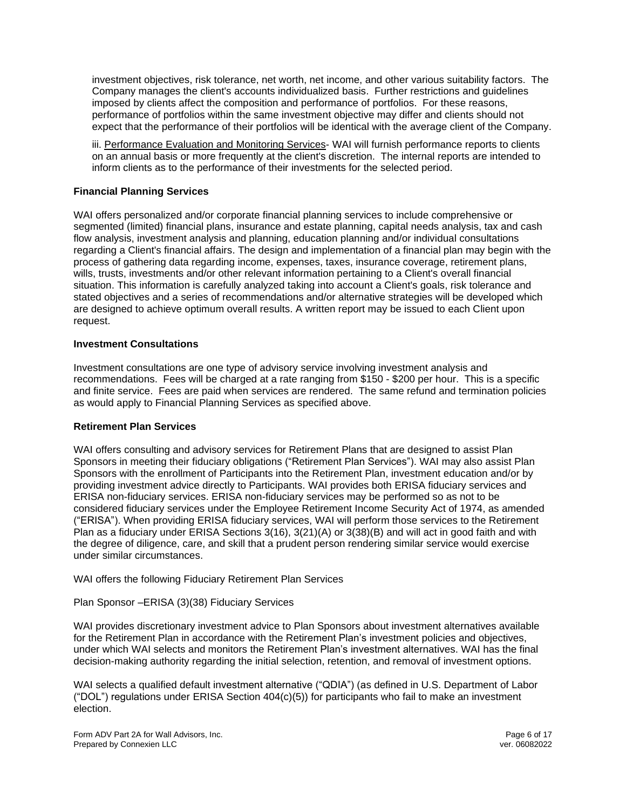investment objectives, risk tolerance, net worth, net income, and other various suitability factors. The Company manages the client's accounts individualized basis. Further restrictions and guidelines imposed by clients affect the composition and performance of portfolios. For these reasons, performance of portfolios within the same investment objective may differ and clients should not expect that the performance of their portfolios will be identical with the average client of the Company.

iii. Performance Evaluation and Monitoring Services- WAI will furnish performance reports to clients on an annual basis or more frequently at the client's discretion. The internal reports are intended to inform clients as to the performance of their investments for the selected period.

#### **Financial Planning Services**

WAI offers personalized and/or corporate financial planning services to include comprehensive or segmented (limited) financial plans, insurance and estate planning, capital needs analysis, tax and cash flow analysis, investment analysis and planning, education planning and/or individual consultations regarding a Client's financial affairs. The design and implementation of a financial plan may begin with the process of gathering data regarding income, expenses, taxes, insurance coverage, retirement plans, wills, trusts, investments and/or other relevant information pertaining to a Client's overall financial situation. This information is carefully analyzed taking into account a Client's goals, risk tolerance and stated objectives and a series of recommendations and/or alternative strategies will be developed which are designed to achieve optimum overall results. A written report may be issued to each Client upon request.

#### **Investment Consultations**

Investment consultations are one type of advisory service involving investment analysis and recommendations. Fees will be charged at a rate ranging from \$150 - \$200 per hour. This is a specific and finite service. Fees are paid when services are rendered. The same refund and termination policies as would apply to Financial Planning Services as specified above.

#### **Retirement Plan Services**

WAI offers consulting and advisory services for Retirement Plans that are designed to assist Plan Sponsors in meeting their fiduciary obligations ("Retirement Plan Services"). WAI may also assist Plan Sponsors with the enrollment of Participants into the Retirement Plan, investment education and/or by providing investment advice directly to Participants. WAI provides both ERISA fiduciary services and ERISA non-fiduciary services. ERISA non-fiduciary services may be performed so as not to be considered fiduciary services under the Employee Retirement Income Security Act of 1974, as amended ("ERISA"). When providing ERISA fiduciary services, WAI will perform those services to the Retirement Plan as a fiduciary under ERISA Sections 3(16), 3(21)(A) or 3(38)(B) and will act in good faith and with the degree of diligence, care, and skill that a prudent person rendering similar service would exercise under similar circumstances.

WAI offers the following Fiduciary Retirement Plan Services

Plan Sponsor –ERISA (3)(38) Fiduciary Services

WAI provides discretionary investment advice to Plan Sponsors about investment alternatives available for the Retirement Plan in accordance with the Retirement Plan's investment policies and objectives, under which WAI selects and monitors the Retirement Plan's investment alternatives. WAI has the final decision-making authority regarding the initial selection, retention, and removal of investment options.

WAI selects a qualified default investment alternative ("QDIA") (as defined in U.S. Department of Labor ("DOL") regulations under ERISA Section 404(c)(5)) for participants who fail to make an investment election.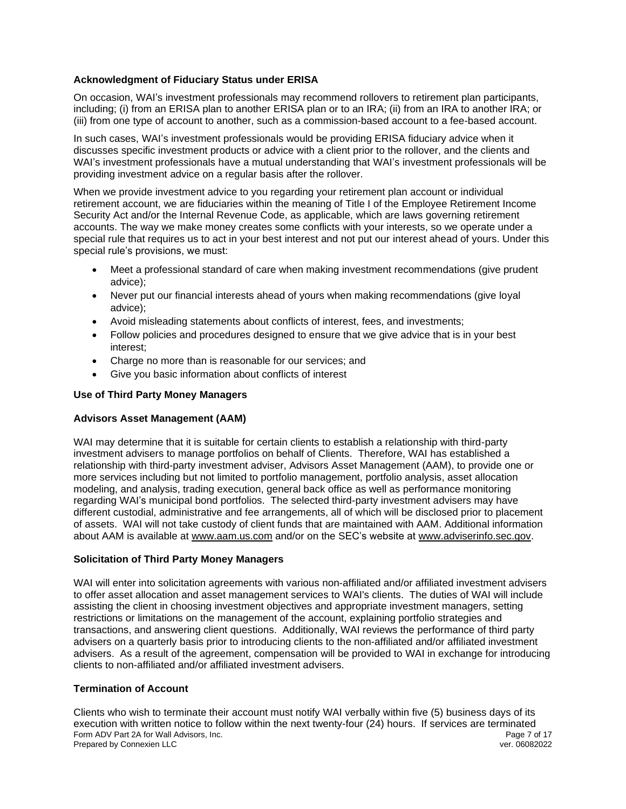#### **Acknowledgment of Fiduciary Status under ERISA**

On occasion, WAI's investment professionals may recommend rollovers to retirement plan participants, including; (i) from an ERISA plan to another ERISA plan or to an IRA; (ii) from an IRA to another IRA; or (iii) from one type of account to another, such as a commission-based account to a fee-based account.

In such cases, WAI's investment professionals would be providing ERISA fiduciary advice when it discusses specific investment products or advice with a client prior to the rollover, and the clients and WAI's investment professionals have a mutual understanding that WAI's investment professionals will be providing investment advice on a regular basis after the rollover.

When we provide investment advice to you regarding your retirement plan account or individual retirement account, we are fiduciaries within the meaning of Title I of the Employee Retirement Income Security Act and/or the Internal Revenue Code, as applicable, which are laws governing retirement accounts. The way we make money creates some conflicts with your interests, so we operate under a special rule that requires us to act in your best interest and not put our interest ahead of yours. Under this special rule's provisions, we must:

- Meet a professional standard of care when making investment recommendations (give prudent advice);
- Never put our financial interests ahead of yours when making recommendations (give loyal advice);
- Avoid misleading statements about conflicts of interest, fees, and investments;
- Follow policies and procedures designed to ensure that we give advice that is in your best interest;
- Charge no more than is reasonable for our services; and
- Give you basic information about conflicts of interest

#### **Use of Third Party Money Managers**

#### **Advisors Asset Management (AAM)**

WAI may determine that it is suitable for certain clients to establish a relationship with third-party investment advisers to manage portfolios on behalf of Clients. Therefore, WAI has established a relationship with third-party investment adviser, Advisors Asset Management (AAM), to provide one or more services including but not limited to portfolio management, portfolio analysis, asset allocation modeling, and analysis, trading execution, general back office as well as performance monitoring regarding WAI's municipal bond portfolios. The selected third-party investment advisers may have different custodial, administrative and fee arrangements, all of which will be disclosed prior to placement of assets. WAI will not take custody of client funds that are maintained with AAM. Additional information about AAM is available at [www.aam.us.com](http://www.aam.us.com/) and/or on the SEC's website at www.adviserinfo.sec.gov.

#### **Solicitation of Third Party Money Managers**

WAI will enter into solicitation agreements with various non-affiliated and/or affiliated investment advisers to offer asset allocation and asset management services to WAI's clients. The duties of WAI will include assisting the client in choosing investment objectives and appropriate investment managers, setting restrictions or limitations on the management of the account, explaining portfolio strategies and transactions, and answering client questions. Additionally, WAI reviews the performance of third party advisers on a quarterly basis prior to introducing clients to the non-affiliated and/or affiliated investment advisers. As a result of the agreement, compensation will be provided to WAI in exchange for introducing clients to non-affiliated and/or affiliated investment advisers.

#### **Termination of Account**

Form ADV Part 2A for Wall Advisors, Inc. example 20 of 17 and 20 of 17 and 20 of 17 and 20 of 17 and 20 of 17 control of 17 and 20 of 17 and 20 of 17 control of 17 control of 17 control of 17 control of 17 control of 17 co Prepared by Connexien LLC Clients who wish to terminate their account must notify WAI verbally within five (5) business days of its execution with written notice to follow within the next twenty-four (24) hours. If services are terminated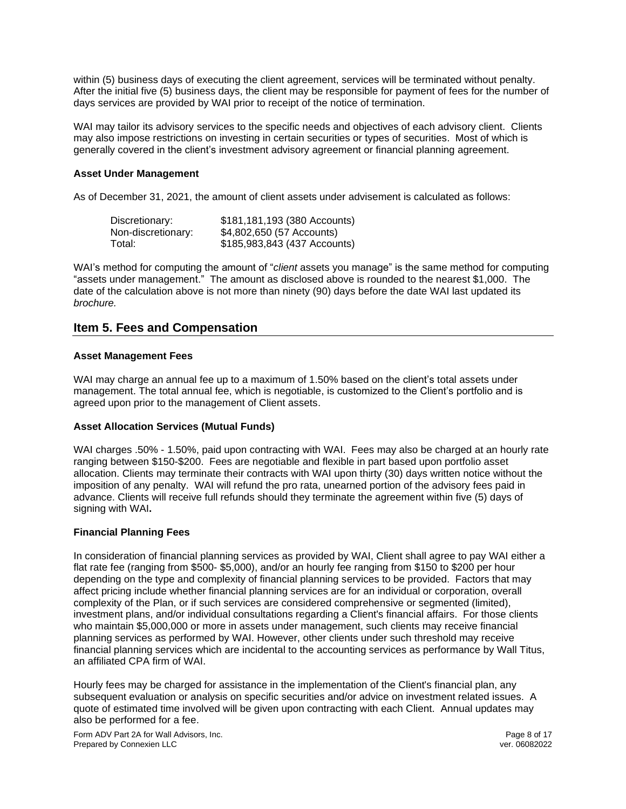within (5) business days of executing the client agreement, services will be terminated without penalty. After the initial five (5) business days, the client may be responsible for payment of fees for the number of days services are provided by WAI prior to receipt of the notice of termination.

WAI may tailor its advisory services to the specific needs and objectives of each advisory client. Clients may also impose restrictions on investing in certain securities or types of securities. Most of which is generally covered in the client's investment advisory agreement or financial planning agreement.

#### **Asset Under Management**

As of December 31, 2021, the amount of client assets under advisement is calculated as follows:

| Discretionary:     | \$181,181,193 (380 Accounts) |
|--------------------|------------------------------|
| Non-discretionary: | \$4,802,650 (57 Accounts)    |
| Total:             | \$185,983,843 (437 Accounts) |

WAI's method for computing the amount of "*client* assets you manage" is the same method for computing "assets under management." The amount as disclosed above is rounded to the nearest \$1,000. The date of the calculation above is not more than ninety (90) days before the date WAI last updated its *brochure.*

# **Item 5. Fees and Compensation**

#### **Asset Management Fees**

WAI may charge an annual fee up to a maximum of 1.50% based on the client's total assets under management. The total annual fee, which is negotiable, is customized to the Client's portfolio and is agreed upon prior to the management of Client assets.

#### **Asset Allocation Services (Mutual Funds)**

WAI charges .50% - 1.50%, paid upon contracting with WAI. Fees may also be charged at an hourly rate ranging between \$150-\$200. Fees are negotiable and flexible in part based upon portfolio asset allocation. Clients may terminate their contracts with WAI upon thirty (30) days written notice without the imposition of any penalty. WAI will refund the pro rata, unearned portion of the advisory fees paid in advance. Clients will receive full refunds should they terminate the agreement within five (5) days of signing with WAI**.**

#### **Financial Planning Fees**

In consideration of financial planning services as provided by WAI, Client shall agree to pay WAI either a flat rate fee (ranging from \$500- \$5,000), and/or an hourly fee ranging from \$150 to \$200 per hour depending on the type and complexity of financial planning services to be provided. Factors that may affect pricing include whether financial planning services are for an individual or corporation, overall complexity of the Plan, or if such services are considered comprehensive or segmented (limited), investment plans, and/or individual consultations regarding a Client's financial affairs. For those clients who maintain \$5,000,000 or more in assets under management, such clients may receive financial planning services as performed by WAI. However, other clients under such threshold may receive financial planning services which are incidental to the accounting services as performance by Wall Titus, an affiliated CPA firm of WAI.

Hourly fees may be charged for assistance in the implementation of the Client's financial plan, any subsequent evaluation or analysis on specific securities and/or advice on investment related issues. A quote of estimated time involved will be given upon contracting with each Client. Annual updates may also be performed for a fee.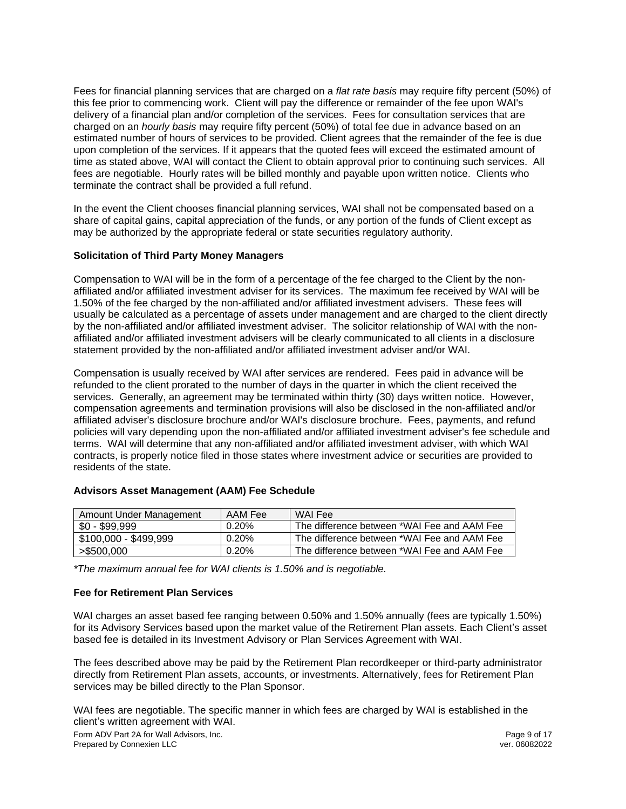Fees for financial planning services that are charged on a *flat rate basis* may require fifty percent (50%) of this fee prior to commencing work. Client will pay the difference or remainder of the fee upon WAI's delivery of a financial plan and/or completion of the services. Fees for consultation services that are charged on an *hourly basis* may require fifty percent (50%) of total fee due in advance based on an estimated number of hours of services to be provided. Client agrees that the remainder of the fee is due upon completion of the services. If it appears that the quoted fees will exceed the estimated amount of time as stated above, WAI will contact the Client to obtain approval prior to continuing such services. All fees are negotiable. Hourly rates will be billed monthly and payable upon written notice. Clients who terminate the contract shall be provided a full refund.

In the event the Client chooses financial planning services, WAI shall not be compensated based on a share of capital gains, capital appreciation of the funds, or any portion of the funds of Client except as may be authorized by the appropriate federal or state securities regulatory authority.

#### **Solicitation of Third Party Money Managers**

Compensation to WAI will be in the form of a percentage of the fee charged to the Client by the nonaffiliated and/or affiliated investment adviser for its services. The maximum fee received by WAI will be 1.50% of the fee charged by the non-affiliated and/or affiliated investment advisers. These fees will usually be calculated as a percentage of assets under management and are charged to the client directly by the non-affiliated and/or affiliated investment adviser. The solicitor relationship of WAI with the nonaffiliated and/or affiliated investment advisers will be clearly communicated to all clients in a disclosure statement provided by the non-affiliated and/or affiliated investment adviser and/or WAI.

Compensation is usually received by WAI after services are rendered. Fees paid in advance will be refunded to the client prorated to the number of days in the quarter in which the client received the services. Generally, an agreement may be terminated within thirty (30) days written notice. However, compensation agreements and termination provisions will also be disclosed in the non-affiliated and/or affiliated adviser's disclosure brochure and/or WAI's disclosure brochure. Fees, payments, and refund policies will vary depending upon the non-affiliated and/or affiliated investment adviser's fee schedule and terms. WAI will determine that any non-affiliated and/or affiliated investment adviser, with which WAI contracts, is properly notice filed in those states where investment advice or securities are provided to residents of the state.

| Amount Under Management | AAM Fee | WAI Fee                                     |
|-------------------------|---------|---------------------------------------------|
| $$0 - $99,999$          | 0.20%   | The difference between *WAI Fee and AAM Fee |
| \$100,000 - \$499,999   | 0.20%   | The difference between *WAI Fee and AAM Fee |
| $>$ \$500,000           | 0.20%   | The difference between *WAI Fee and AAM Fee |

#### **Advisors Asset Management (AAM) Fee Schedule**

*\*The maximum annual fee for WAI clients is 1.50% and is negotiable.*

#### **Fee for Retirement Plan Services**

WAI charges an asset based fee ranging between 0.50% and 1.50% annually (fees are typically 1.50%) for its Advisory Services based upon the market value of the Retirement Plan assets. Each Client's asset based fee is detailed in its Investment Advisory or Plan Services Agreement with WAI.

The fees described above may be paid by the Retirement Plan recordkeeper or third-party administrator directly from Retirement Plan assets, accounts, or investments. Alternatively, fees for Retirement Plan services may be billed directly to the Plan Sponsor.

WAI fees are negotiable. The specific manner in which fees are charged by WAI is established in the client's written agreement with WAI.

Form ADV Part 2A for Wall Advisors, Inc.<br>Prepared by Connexien LLC<br>Prepared by Connexien LLC Prepared by Connexien LLC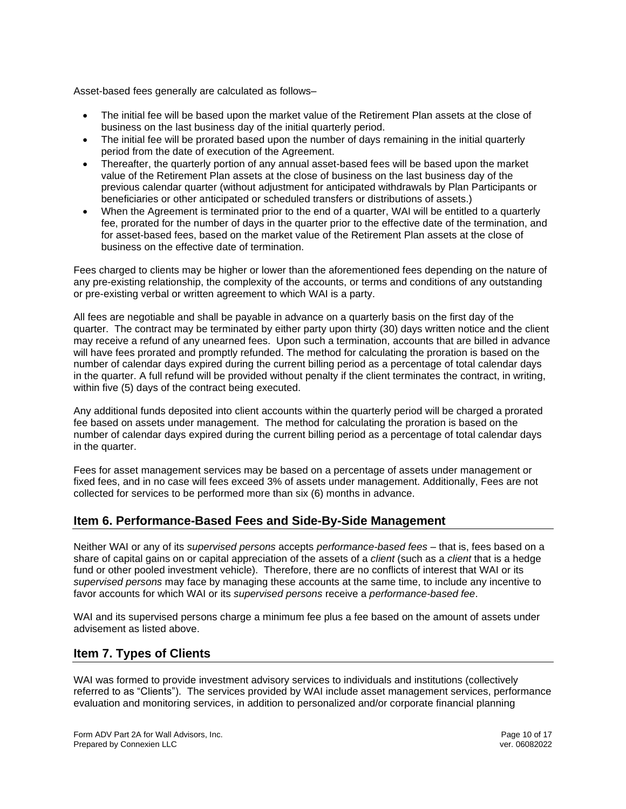Asset-based fees generally are calculated as follows–

- The initial fee will be based upon the market value of the Retirement Plan assets at the close of business on the last business day of the initial quarterly period.
- The initial fee will be prorated based upon the number of days remaining in the initial quarterly period from the date of execution of the Agreement.
- Thereafter, the quarterly portion of any annual asset-based fees will be based upon the market value of the Retirement Plan assets at the close of business on the last business day of the previous calendar quarter (without adjustment for anticipated withdrawals by Plan Participants or beneficiaries or other anticipated or scheduled transfers or distributions of assets.)
- When the Agreement is terminated prior to the end of a quarter, WAI will be entitled to a quarterly fee, prorated for the number of days in the quarter prior to the effective date of the termination, and for asset-based fees, based on the market value of the Retirement Plan assets at the close of business on the effective date of termination.

Fees charged to clients may be higher or lower than the aforementioned fees depending on the nature of any pre-existing relationship, the complexity of the accounts, or terms and conditions of any outstanding or pre-existing verbal or written agreement to which WAI is a party.

All fees are negotiable and shall be payable in advance on a quarterly basis on the first day of the quarter. The contract may be terminated by either party upon thirty (30) days written notice and the client may receive a refund of any unearned fees. Upon such a termination, accounts that are billed in advance will have fees prorated and promptly refunded. The method for calculating the proration is based on the number of calendar days expired during the current billing period as a percentage of total calendar days in the quarter. A full refund will be provided without penalty if the client terminates the contract, in writing, within five (5) days of the contract being executed.

Any additional funds deposited into client accounts within the quarterly period will be charged a prorated fee based on assets under management. The method for calculating the proration is based on the number of calendar days expired during the current billing period as a percentage of total calendar days in the quarter.

Fees for asset management services may be based on a percentage of assets under management or fixed fees, and in no case will fees exceed 3% of assets under management. Additionally, Fees are not collected for services to be performed more than six (6) months in advance.

# **Item 6. Performance-Based Fees and Side-By-Side Management**

Neither WAI or any of its *supervised persons* accepts *performance-based fees* – that is, fees based on a share of capital gains on or capital appreciation of the assets of a *client* (such as a *client* that is a hedge fund or other pooled investment vehicle). Therefore, there are no conflicts of interest that WAI or its *supervised persons* may face by managing these accounts at the same time, to include any incentive to favor accounts for which WAI or its *supervised persons* receive a *performance-based fee*.

WAI and its supervised persons charge a minimum fee plus a fee based on the amount of assets under advisement as listed above.

# **Item 7. Types of Clients**

WAI was formed to provide investment advisory services to individuals and institutions (collectively referred to as "Clients"). The services provided by WAI include asset management services, performance evaluation and monitoring services, in addition to personalized and/or corporate financial planning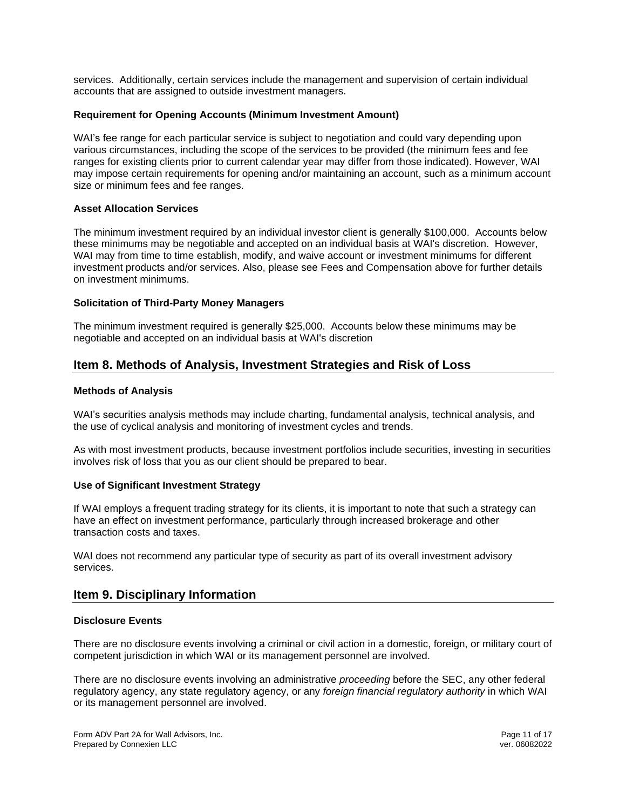services. Additionally, certain services include the management and supervision of certain individual accounts that are assigned to outside investment managers.

#### **Requirement for Opening Accounts (Minimum Investment Amount)**

WAI's fee range for each particular service is subject to negotiation and could vary depending upon various circumstances, including the scope of the services to be provided (the minimum fees and fee ranges for existing clients prior to current calendar year may differ from those indicated). However, WAI may impose certain requirements for opening and/or maintaining an account, such as a minimum account size or minimum fees and fee ranges.

#### **Asset Allocation Services**

The minimum investment required by an individual investor client is generally \$100,000. Accounts below these minimums may be negotiable and accepted on an individual basis at WAI's discretion. However, WAI may from time to time establish, modify, and waive account or investment minimums for different investment products and/or services. Also, please see Fees and Compensation above for further details on investment minimums.

#### **Solicitation of Third-Party Money Managers**

The minimum investment required is generally \$25,000. Accounts below these minimums may be negotiable and accepted on an individual basis at WAI's discretion

# **Item 8. Methods of Analysis, Investment Strategies and Risk of Loss**

#### **Methods of Analysis**

WAI's securities analysis methods may include charting, fundamental analysis, technical analysis, and the use of cyclical analysis and monitoring of investment cycles and trends.

As with most investment products, because investment portfolios include securities, investing in securities involves risk of loss that you as our client should be prepared to bear.

#### **Use of Significant Investment Strategy**

If WAI employs a frequent trading strategy for its clients, it is important to note that such a strategy can have an effect on investment performance, particularly through increased brokerage and other transaction costs and taxes.

WAI does not recommend any particular type of security as part of its overall investment advisory services.

# **Item 9. Disciplinary Information**

#### **Disclosure Events**

There are no disclosure events involving a criminal or civil action in a domestic, foreign, or military court of competent jurisdiction in which WAI or its management personnel are involved.

There are no disclosure events involving an administrative *proceeding* before the SEC, any other federal regulatory agency, any state regulatory agency, or any *foreign financial regulatory authority* in which WAI or its management personnel are involved.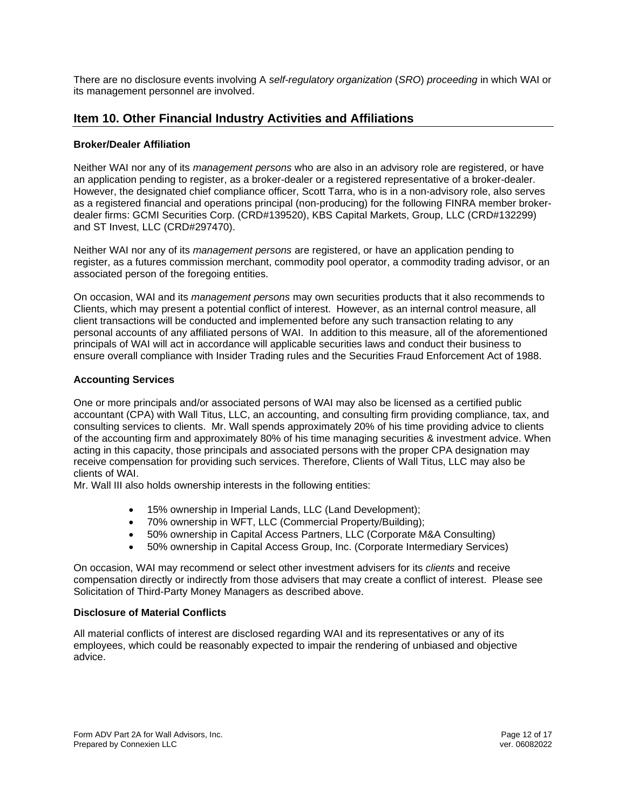There are no disclosure events involving A *self-regulatory organization* (*SRO*) *proceeding* in which WAI or its management personnel are involved.

# **Item 10. Other Financial Industry Activities and Affiliations**

#### **Broker/Dealer Affiliation**

Neither WAI nor any of its *management persons* who are also in an advisory role are registered, or have an application pending to register, as a broker-dealer or a registered representative of a broker-dealer. However, the designated chief compliance officer, Scott Tarra, who is in a non-advisory role, also serves as a registered financial and operations principal (non-producing) for the following FINRA member brokerdealer firms: GCMI Securities Corp. (CRD#139520), KBS Capital Markets, Group, LLC (CRD#132299) and ST Invest, LLC (CRD#297470).

Neither WAI nor any of its *management persons* are registered, or have an application pending to register, as a futures commission merchant, commodity pool operator, a commodity trading advisor, or an associated person of the foregoing entities.

On occasion, WAI and its *management persons* may own securities products that it also recommends to Clients, which may present a potential conflict of interest. However, as an internal control measure, all client transactions will be conducted and implemented before any such transaction relating to any personal accounts of any affiliated persons of WAI. In addition to this measure, all of the aforementioned principals of WAI will act in accordance will applicable securities laws and conduct their business to ensure overall compliance with Insider Trading rules and the Securities Fraud Enforcement Act of 1988.

#### **Accounting Services**

One or more principals and/or associated persons of WAI may also be licensed as a certified public accountant (CPA) with Wall Titus, LLC, an accounting, and consulting firm providing compliance, tax, and consulting services to clients. Mr. Wall spends approximately 20% of his time providing advice to clients of the accounting firm and approximately 80% of his time managing securities & investment advice. When acting in this capacity, those principals and associated persons with the proper CPA designation may receive compensation for providing such services. Therefore, Clients of Wall Titus, LLC may also be clients of WAI.

Mr. Wall III also holds ownership interests in the following entities:

- 15% ownership in Imperial Lands, LLC (Land Development);
- 70% ownership in WFT, LLC (Commercial Property/Building);
- 50% ownership in Capital Access Partners, LLC (Corporate M&A Consulting)
- 50% ownership in Capital Access Group, Inc. (Corporate Intermediary Services)

On occasion, WAI may recommend or select other investment advisers for its *clients* and receive compensation directly or indirectly from those advisers that may create a conflict of interest. Please see Solicitation of Third-Party Money Managers as described above.

#### **Disclosure of Material Conflicts**

All material conflicts of interest are disclosed regarding WAI and its representatives or any of its employees, which could be reasonably expected to impair the rendering of unbiased and objective advice.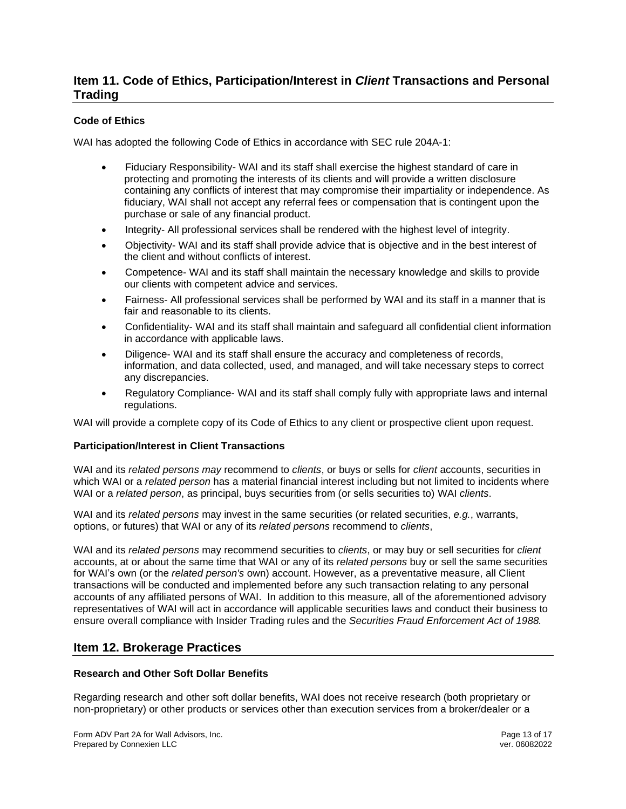# **Item 11. Code of Ethics, Participation/Interest in** *Client* **Transactions and Personal Trading**

#### **Code of Ethics**

WAI has adopted the following Code of Ethics in accordance with SEC rule 204A-1:

- Fiduciary Responsibility- WAI and its staff shall exercise the highest standard of care in protecting and promoting the interests of its clients and will provide a written disclosure containing any conflicts of interest that may compromise their impartiality or independence. As fiduciary, WAI shall not accept any referral fees or compensation that is contingent upon the purchase or sale of any financial product.
- Integrity- All professional services shall be rendered with the highest level of integrity.
- Objectivity- WAI and its staff shall provide advice that is objective and in the best interest of the client and without conflicts of interest.
- Competence- WAI and its staff shall maintain the necessary knowledge and skills to provide our clients with competent advice and services.
- Fairness- All professional services shall be performed by WAI and its staff in a manner that is fair and reasonable to its clients.
- Confidentiality- WAI and its staff shall maintain and safeguard all confidential client information in accordance with applicable laws.
- Diligence- WAI and its staff shall ensure the accuracy and completeness of records, information, and data collected, used, and managed, and will take necessary steps to correct any discrepancies.
- Regulatory Compliance- WAI and its staff shall comply fully with appropriate laws and internal regulations.

WAI will provide a complete copy of its Code of Ethics to any client or prospective client upon request.

#### **Participation/Interest in Client Transactions**

WAI and its *related persons may* recommend to *clients*, or buys or sells for *client* accounts, securities in which WAI or a *related person* has a material financial interest including but not limited to incidents where WAI or a *related person*, as principal, buys securities from (or sells securities to) WAI *clients*.

WAI and its *related persons* may invest in the same securities (or related securities, *e.g.*, warrants, options, or futures) that WAI or any of its *related persons* recommend to *clients*,

WAI and its *related persons* may recommend securities to *clients*, or may buy or sell securities for *client*  accounts, at or about the same time that WAI or any of its *related persons* buy or sell the same securities for WAI's own (or the *related person's* own) account. However, as a preventative measure, all Client transactions will be conducted and implemented before any such transaction relating to any personal accounts of any affiliated persons of WAI. In addition to this measure, all of the aforementioned advisory representatives of WAI will act in accordance will applicable securities laws and conduct their business to ensure overall compliance with Insider Trading rules and the *Securities Fraud Enforcement Act of 1988.*

# **Item 12. Brokerage Practices**

#### **Research and Other Soft Dollar Benefits**

Regarding research and other soft dollar benefits, WAI does not receive research (both proprietary or non-proprietary) or other products or services other than execution services from a broker/dealer or a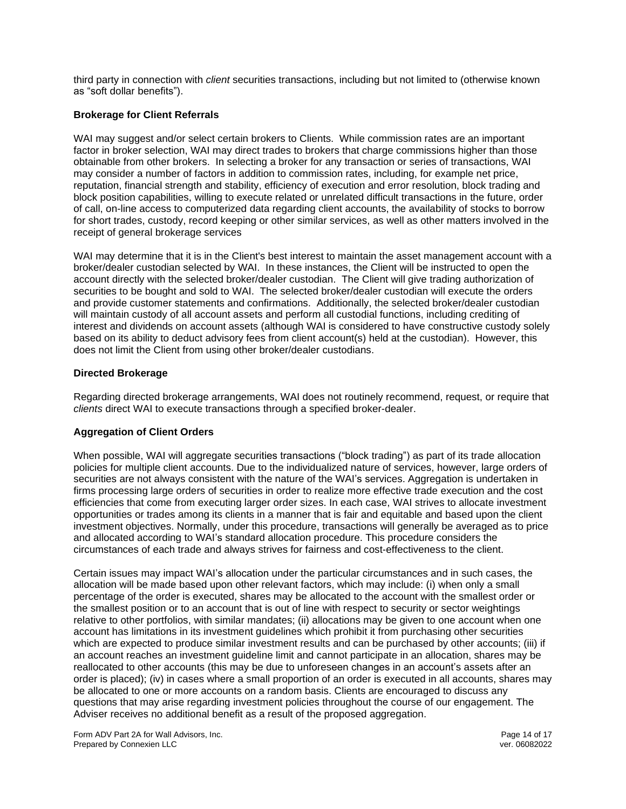third party in connection with *client* securities transactions, including but not limited to (otherwise known as "soft dollar benefits").

#### **Brokerage for Client Referrals**

WAI may suggest and/or select certain brokers to Clients. While commission rates are an important factor in broker selection, WAI may direct trades to brokers that charge commissions higher than those obtainable from other brokers. In selecting a broker for any transaction or series of transactions, WAI may consider a number of factors in addition to commission rates, including, for example net price, reputation, financial strength and stability, efficiency of execution and error resolution, block trading and block position capabilities, willing to execute related or unrelated difficult transactions in the future, order of call, on-line access to computerized data regarding client accounts, the availability of stocks to borrow for short trades, custody, record keeping or other similar services, as well as other matters involved in the receipt of general brokerage services

WAI may determine that it is in the Client's best interest to maintain the asset management account with a broker/dealer custodian selected by WAI. In these instances, the Client will be instructed to open the account directly with the selected broker/dealer custodian. The Client will give trading authorization of securities to be bought and sold to WAI. The selected broker/dealer custodian will execute the orders and provide customer statements and confirmations. Additionally, the selected broker/dealer custodian will maintain custody of all account assets and perform all custodial functions, including crediting of interest and dividends on account assets (although WAI is considered to have constructive custody solely based on its ability to deduct advisory fees from client account(s) held at the custodian). However, this does not limit the Client from using other broker/dealer custodians.

#### **Directed Brokerage**

Regarding directed brokerage arrangements, WAI does not routinely recommend, request, or require that *clients* direct WAI to execute transactions through a specified broker-dealer.

#### **Aggregation of Client Orders**

When possible, WAI will aggregate securities transactions ("block trading") as part of its trade allocation policies for multiple client accounts. Due to the individualized nature of services, however, large orders of securities are not always consistent with the nature of the WAI's services. Aggregation is undertaken in firms processing large orders of securities in order to realize more effective trade execution and the cost efficiencies that come from executing larger order sizes. In each case, WAI strives to allocate investment opportunities or trades among its clients in a manner that is fair and equitable and based upon the client investment objectives. Normally, under this procedure, transactions will generally be averaged as to price and allocated according to WAI's standard allocation procedure. This procedure considers the circumstances of each trade and always strives for fairness and cost-effectiveness to the client.

Certain issues may impact WAI's allocation under the particular circumstances and in such cases, the allocation will be made based upon other relevant factors, which may include: (i) when only a small percentage of the order is executed, shares may be allocated to the account with the smallest order or the smallest position or to an account that is out of line with respect to security or sector weightings relative to other portfolios, with similar mandates; (ii) allocations may be given to one account when one account has limitations in its investment guidelines which prohibit it from purchasing other securities which are expected to produce similar investment results and can be purchased by other accounts; (iii) if an account reaches an investment guideline limit and cannot participate in an allocation, shares may be reallocated to other accounts (this may be due to unforeseen changes in an account's assets after an order is placed); (iv) in cases where a small proportion of an order is executed in all accounts, shares may be allocated to one or more accounts on a random basis. Clients are encouraged to discuss any questions that may arise regarding investment policies throughout the course of our engagement. The Adviser receives no additional benefit as a result of the proposed aggregation.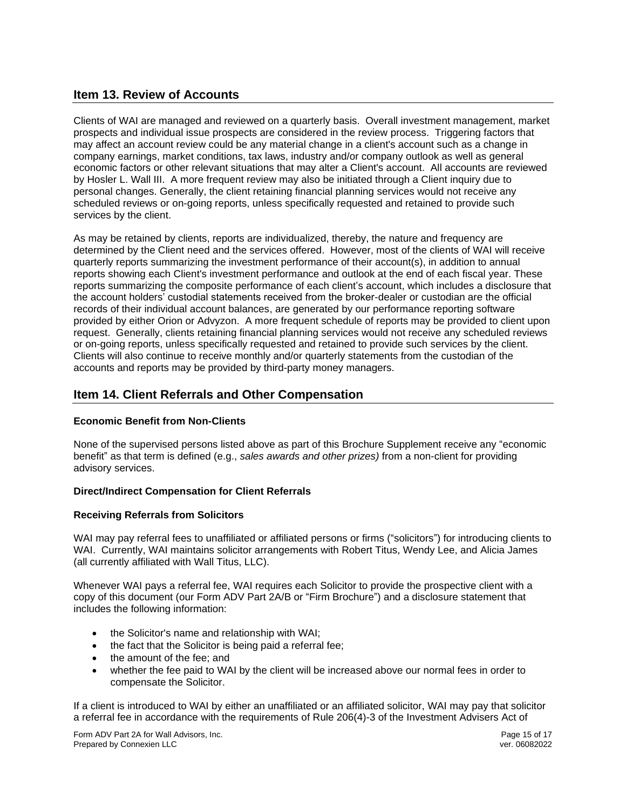# **Item 13. Review of Accounts**

Clients of WAI are managed and reviewed on a quarterly basis. Overall investment management, market prospects and individual issue prospects are considered in the review process. Triggering factors that may affect an account review could be any material change in a client's account such as a change in company earnings, market conditions, tax laws, industry and/or company outlook as well as general economic factors or other relevant situations that may alter a Client's account. All accounts are reviewed by Hosler L. Wall III. A more frequent review may also be initiated through a Client inquiry due to personal changes. Generally, the client retaining financial planning services would not receive any scheduled reviews or on-going reports, unless specifically requested and retained to provide such services by the client.

As may be retained by clients, reports are individualized, thereby, the nature and frequency are determined by the Client need and the services offered. However, most of the clients of WAI will receive quarterly reports summarizing the investment performance of their account(s), in addition to annual reports showing each Client's investment performance and outlook at the end of each fiscal year. These reports summarizing the composite performance of each client's account, which includes a disclosure that the account holders' custodial statements received from the broker-dealer or custodian are the official records of their individual account balances, are generated by our performance reporting software provided by either Orion or Advyzon. A more frequent schedule of reports may be provided to client upon request. Generally, clients retaining financial planning services would not receive any scheduled reviews or on-going reports, unless specifically requested and retained to provide such services by the client. Clients will also continue to receive monthly and/or quarterly statements from the custodian of the accounts and reports may be provided by third-party money managers.

# **Item 14. Client Referrals and Other Compensation**

#### **Economic Benefit from Non-Clients**

None of the supervised persons listed above as part of this Brochure Supplement receive any "economic benefit" as that term is defined (e.g., *sales awards and other prizes)* from a non-client for providing advisory services.

#### **Direct/Indirect Compensation for Client Referrals**

#### **Receiving Referrals from Solicitors**

WAI may pay referral fees to unaffiliated or affiliated persons or firms ("solicitors") for introducing clients to WAI. Currently, WAI maintains solicitor arrangements with Robert Titus, Wendy Lee, and Alicia James (all currently affiliated with Wall Titus, LLC).

Whenever WAI pays a referral fee, WAI requires each Solicitor to provide the prospective client with a copy of this document (our Form ADV Part 2A/B or "Firm Brochure") and a disclosure statement that includes the following information:

- the Solicitor's name and relationship with WAI;
- the fact that the Solicitor is being paid a referral fee;
- the amount of the fee; and
- whether the fee paid to WAI by the client will be increased above our normal fees in order to compensate the Solicitor.

If a client is introduced to WAI by either an unaffiliated or an affiliated solicitor, WAI may pay that solicitor a referral fee in accordance with the requirements of Rule 206(4)-3 of the Investment Advisers Act of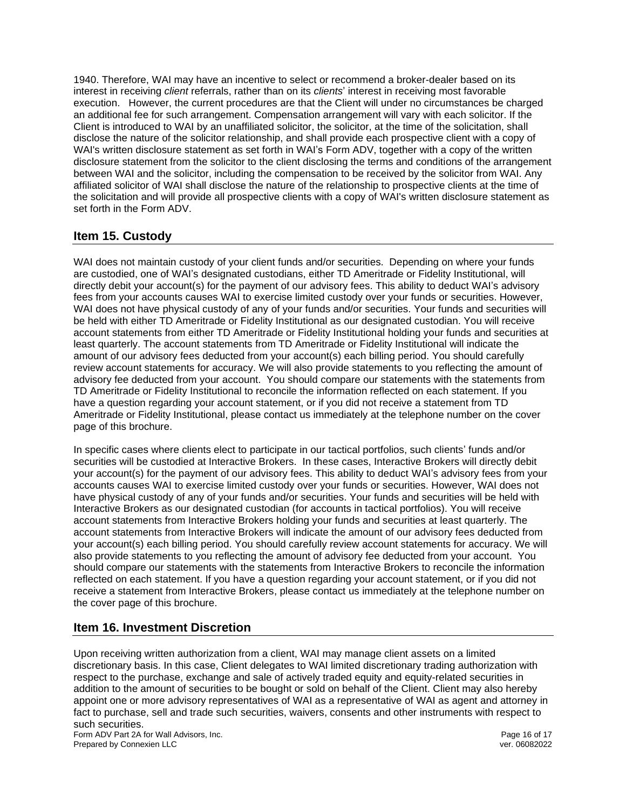1940. Therefore, WAI may have an incentive to select or recommend a broker-dealer based on its interest in receiving *client* referrals, rather than on its *clients*' interest in receiving most favorable execution. However, the current procedures are that the Client will under no circumstances be charged an additional fee for such arrangement. Compensation arrangement will vary with each solicitor. If the Client is introduced to WAI by an unaffiliated solicitor, the solicitor, at the time of the solicitation, shall disclose the nature of the solicitor relationship, and shall provide each prospective client with a copy of WAI's written disclosure statement as set forth in WAI's Form ADV, together with a copy of the written disclosure statement from the solicitor to the client disclosing the terms and conditions of the arrangement between WAI and the solicitor, including the compensation to be received by the solicitor from WAI. Any affiliated solicitor of WAI shall disclose the nature of the relationship to prospective clients at the time of the solicitation and will provide all prospective clients with a copy of WAI's written disclosure statement as set forth in the Form ADV.

# **Item 15. Custody**

WAI does not maintain custody of your client funds and/or securities. Depending on where your funds are custodied, one of WAI's designated custodians, either TD Ameritrade or Fidelity Institutional, will directly debit your account(s) for the payment of our advisory fees. This ability to deduct WAI's advisory fees from your accounts causes WAI to exercise limited custody over your funds or securities. However, WAI does not have physical custody of any of your funds and/or securities. Your funds and securities will be held with either TD Ameritrade or Fidelity Institutional as our designated custodian. You will receive account statements from either TD Ameritrade or Fidelity Institutional holding your funds and securities at least quarterly. The account statements from TD Ameritrade or Fidelity Institutional will indicate the amount of our advisory fees deducted from your account(s) each billing period. You should carefully review account statements for accuracy. We will also provide statements to you reflecting the amount of advisory fee deducted from your account. You should compare our statements with the statements from TD Ameritrade or Fidelity Institutional to reconcile the information reflected on each statement. If you have a question regarding your account statement, or if you did not receive a statement from TD Ameritrade or Fidelity Institutional, please contact us immediately at the telephone number on the cover page of this brochure.

In specific cases where clients elect to participate in our tactical portfolios, such clients' funds and/or securities will be custodied at Interactive Brokers. In these cases, Interactive Brokers will directly debit your account(s) for the payment of our advisory fees. This ability to deduct WAI's advisory fees from your accounts causes WAI to exercise limited custody over your funds or securities. However, WAI does not have physical custody of any of your funds and/or securities. Your funds and securities will be held with Interactive Brokers as our designated custodian (for accounts in tactical portfolios). You will receive account statements from Interactive Brokers holding your funds and securities at least quarterly. The account statements from Interactive Brokers will indicate the amount of our advisory fees deducted from your account(s) each billing period. You should carefully review account statements for accuracy. We will also provide statements to you reflecting the amount of advisory fee deducted from your account. You should compare our statements with the statements from Interactive Brokers to reconcile the information reflected on each statement. If you have a question regarding your account statement, or if you did not receive a statement from Interactive Brokers, please contact us immediately at the telephone number on the cover page of this brochure.

# **Item 16. Investment Discretion**

Upon receiving written authorization from a client, WAI may manage client assets on a limited discretionary basis. In this case, Client delegates to WAI limited discretionary trading authorization with respect to the purchase, exchange and sale of actively traded equity and equity-related securities in addition to the amount of securities to be bought or sold on behalf of the Client. Client may also hereby appoint one or more advisory representatives of WAI as a representative of WAI as agent and attorney in fact to purchase, sell and trade such securities, waivers, consents and other instruments with respect to such securities.

Form ADV Part 2A for Wall Advisors, Inc. example 20 of 17 and 20 of 17 and 20 of 17 and 20 of 17 and 20 of 17 and 20 of 17 and 20 of 17 and 20 of 17 and 20 of 17 and 20 of 17 and 20 of 17 and 20 of 17 and 20 of 17 and 20 o Prepared by Connexien LLC